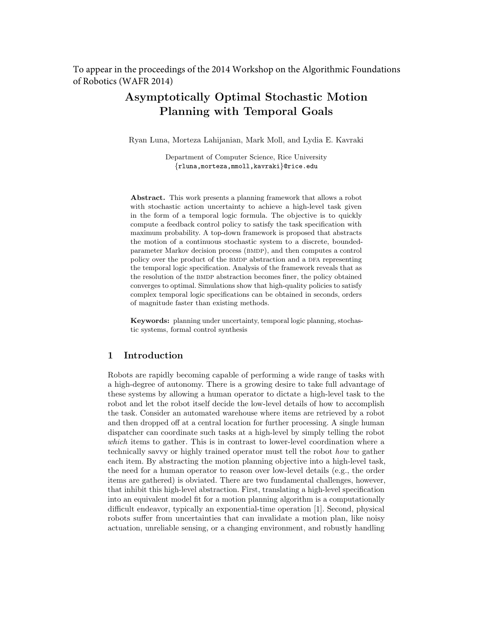To appear in the proceedings of the 2014 Workshop on the Algorithmic Foundations of Robotics (WAFR 2014)

# Asymptotically Optimal Stochastic Motion Planning with Temporal Goals

Ryan Luna, Morteza Lahijanian, Mark Moll, and Lydia E. Kavraki

Department of Computer Science, Rice University {rluna,morteza,mmoll,kavraki}@rice.edu

Abstract. This work presents a planning framework that allows a robot with stochastic action uncertainty to achieve a high-level task given in the form of a temporal logic formula. The objective is to quickly compute a feedback control policy to satisfy the task specification with maximum probability. A top-down framework is proposed that abstracts the motion of a continuous stochastic system to a discrete, boundedparameter Markov decision process (BMDP), and then computes a control policy over the product of the BMDP abstraction and a DFA representing the temporal logic specification. Analysis of the framework reveals that as the resolution of the BMDP abstraction becomes finer, the policy obtained converges to optimal. Simulations show that high-quality policies to satisfy complex temporal logic specifications can be obtained in seconds, orders of magnitude faster than existing methods.

Keywords: planning under uncertainty, temporal logic planning, stochastic systems, formal control synthesis

# 1 Introduction

Robots are rapidly becoming capable of performing a wide range of tasks with a high-degree of autonomy. There is a growing desire to take full advantage of these systems by allowing a human operator to dictate a high-level task to the robot and let the robot itself decide the low-level details of how to accomplish the task. Consider an automated warehouse where items are retrieved by a robot and then dropped off at a central location for further processing. A single human dispatcher can coordinate such tasks at a high-level by simply telling the robot which items to gather. This is in contrast to lower-level coordination where a technically savvy or highly trained operator must tell the robot how to gather each item. By abstracting the motion planning objective into a high-level task, the need for a human operator to reason over low-level details (e.g., the order items are gathered) is obviated. There are two fundamental challenges, however, that inhibit this high-level abstraction. First, translating a high-level specification into an equivalent model fit for a motion planning algorithm is a computationally difficult endeavor, typically an exponential-time operation [1]. Second, physical robots suffer from uncertainties that can invalidate a motion plan, like noisy actuation, unreliable sensing, or a changing environment, and robustly handling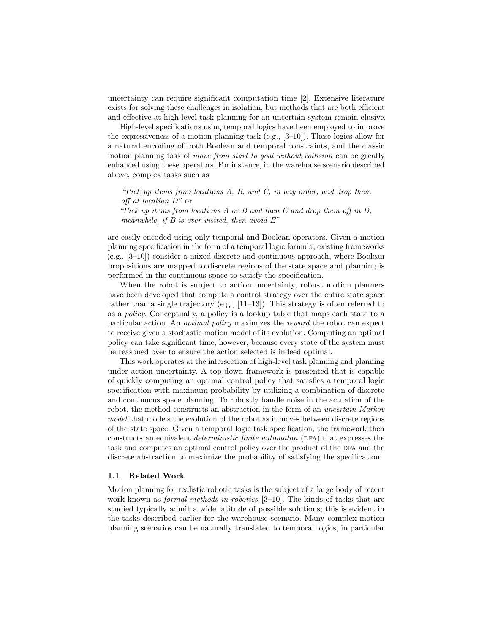uncertainty can require significant computation time [2]. Extensive literature exists for solving these challenges in isolation, but methods that are both efficient and effective at high-level task planning for an uncertain system remain elusive.

High-level specifications using temporal logics have been employed to improve the expressiveness of a motion planning task  $(e.g., [3-10])$ . These logics allow for a natural encoding of both Boolean and temporal constraints, and the classic motion planning task of move from start to goal without collision can be greatly enhanced using these operators. For instance, in the warehouse scenario described above, complex tasks such as

"Pick up items from locations A, B, and C, in any order, and drop them off at location D" or

"Pick up items from locations  $A$  or  $B$  and then  $C$  and drop them off in  $D$ ; meanwhile, if  $B$  is ever visited, then avoid  $E''$ 

are easily encoded using only temporal and Boolean operators. Given a motion planning specification in the form of a temporal logic formula, existing frameworks (e.g., [3–10]) consider a mixed discrete and continuous approach, where Boolean propositions are mapped to discrete regions of the state space and planning is performed in the continuous space to satisfy the specification.

When the robot is subject to action uncertainty, robust motion planners have been developed that compute a control strategy over the entire state space rather than a single trajectory (e.g.,  $[11-13]$ ). This strategy is often referred to as a policy. Conceptually, a policy is a lookup table that maps each state to a particular action. An optimal policy maximizes the reward the robot can expect to receive given a stochastic motion model of its evolution. Computing an optimal policy can take significant time, however, because every state of the system must be reasoned over to ensure the action selected is indeed optimal.

This work operates at the intersection of high-level task planning and planning under action uncertainty. A top-down framework is presented that is capable of quickly computing an optimal control policy that satisfies a temporal logic specification with maximum probability by utilizing a combination of discrete and continuous space planning. To robustly handle noise in the actuation of the robot, the method constructs an abstraction in the form of an uncertain Markov model that models the evolution of the robot as it moves between discrete regions of the state space. Given a temporal logic task specification, the framework then constructs an equivalent *deterministic finite automaton* (DFA) that expresses the task and computes an optimal control policy over the product of the DFA and the discrete abstraction to maximize the probability of satisfying the specification.

#### 1.1 Related Work

Motion planning for realistic robotic tasks is the subject of a large body of recent work known as *formal methods in robotics* [3–10]. The kinds of tasks that are studied typically admit a wide latitude of possible solutions; this is evident in the tasks described earlier for the warehouse scenario. Many complex motion planning scenarios can be naturally translated to temporal logics, in particular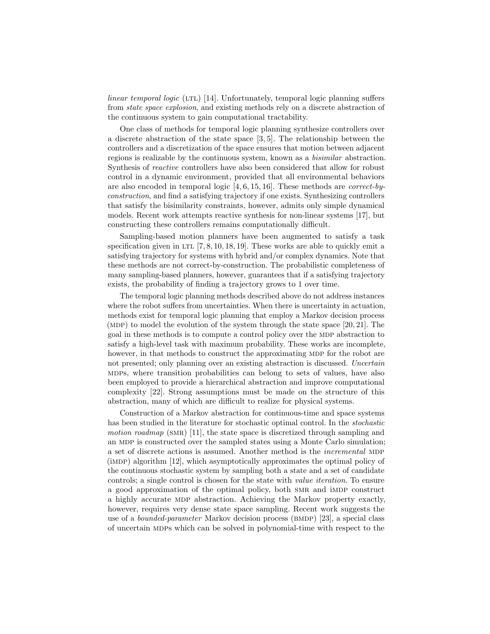$linear temporal logic (LTL) [14]$ . Unfortunately, temporal logic planning suffers from state space explosion, and existing methods rely on a discrete abstraction of the continuous system to gain computational tractability.

One class of methods for temporal logic planning synthesize controllers over a discrete abstraction of the state space [3, 5]. The relationship between the controllers and a discretization of the space ensures that motion between adjacent regions is realizable by the continuous system, known as a bisimilar abstraction. Synthesis of reactive controllers have also been considered that allow for robust control in a dynamic environment, provided that all environmental behaviors are also encoded in temporal logic [4, 6, 15, 16]. These methods are correct-byconstruction, and find a satisfying trajectory if one exists. Synthesizing controllers that satisfy the bisimilarity constraints, however, admits only simple dynamical models. Recent work attempts reactive synthesis for non-linear systems [17], but constructing these controllers remains computationally difficult.

Sampling-based motion planners have been augmented to satisfy a task specification given in LTL  $[7, 8, 10, 18, 19]$ . These works are able to quickly emit a satisfying trajectory for systems with hybrid and/or complex dynamics. Note that these methods are not correct-by-construction. The probabilistic completeness of many sampling-based planners, however, guarantees that if a satisfying trajectory exists, the probability of finding a trajectory grows to 1 over time.

The temporal logic planning methods described above do not address instances where the robot suffers from uncertainties. When there is uncertainty in actuation, methods exist for temporal logic planning that employ a Markov decision process (MDP) to model the evolution of the system through the state space  $[20, 21]$ . The goal in these methods is to compute a control policy over the MDP abstraction to satisfy a high-level task with maximum probability. These works are incomplete, however, in that methods to construct the approximating MDP for the robot are not presented; only planning over an existing abstraction is discussed. Uncertain mdps, where transition probabilities can belong to sets of values, have also been employed to provide a hierarchical abstraction and improve computational complexity [22]. Strong assumptions must be made on the structure of this abstraction, many of which are difficult to realize for physical systems.

Construction of a Markov abstraction for continuous-time and space systems has been studied in the literature for stochastic optimal control. In the stochastic motion roadmap (SMR) [11], the state space is discretized through sampling and an MDP is constructed over the sampled states using a Monte Carlo simulation; a set of discrete actions is assumed. Another method is the *incremental* MDP  $(iMDP)$  algorithm  $[12]$ , which asymptotically approximates the optimal policy of the continuous stochastic system by sampling both a state and a set of candidate controls; a single control is chosen for the state with value iteration. To ensure a good approximation of the optimal policy, both SMR and iMDP construct a highly accurate mdp abstraction. Achieving the Markov property exactly, however, requires very dense state space sampling. Recent work suggests the use of a *bounded-parameter* Markov decision process ( $BMDP$ ) [23], a special class of uncertain mdps which can be solved in polynomial-time with respect to the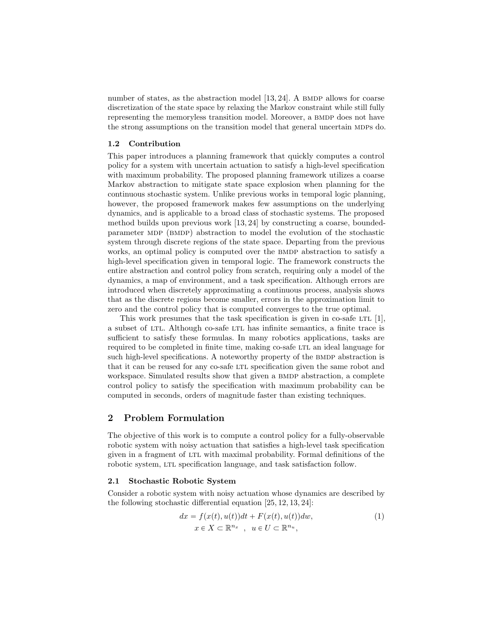number of states, as the abstraction model  $[13, 24]$ . A BMDP allows for coarse discretization of the state space by relaxing the Markov constraint while still fully representing the memoryless transition model. Moreover, a BMDP does not have the strong assumptions on the transition model that general uncertain MDPs do.

### 1.2 Contribution

This paper introduces a planning framework that quickly computes a control policy for a system with uncertain actuation to satisfy a high-level specification with maximum probability. The proposed planning framework utilizes a coarse Markov abstraction to mitigate state space explosion when planning for the continuous stochastic system. Unlike previous works in temporal logic planning, however, the proposed framework makes few assumptions on the underlying dynamics, and is applicable to a broad class of stochastic systems. The proposed method builds upon previous work [13, 24] by constructing a coarse, boundedparameter mdp (bmdp) abstraction to model the evolution of the stochastic system through discrete regions of the state space. Departing from the previous works, an optimal policy is computed over the BMDP abstraction to satisfy a high-level specification given in temporal logic. The framework constructs the entire abstraction and control policy from scratch, requiring only a model of the dynamics, a map of environment, and a task specification. Although errors are introduced when discretely approximating a continuous process, analysis shows that as the discrete regions become smaller, errors in the approximation limit to zero and the control policy that is computed converges to the true optimal.

This work presumes that the task specification is given in co-safe LTL  $[1]$ , a subset of LTL. Although co-safe LTL has infinite semantics, a finite trace is sufficient to satisfy these formulas. In many robotics applications, tasks are required to be completed in finite time, making co-safe LTL an ideal language for such high-level specifications. A noteworthy property of the BMDP abstraction is that it can be reused for any co-safe LTL specification given the same robot and workspace. Simulated results show that given a BMDP abstraction, a complete control policy to satisfy the specification with maximum probability can be computed in seconds, orders of magnitude faster than existing techniques.

# 2 Problem Formulation

The objective of this work is to compute a control policy for a fully-observable robotic system with noisy actuation that satisfies a high-level task specification given in a fragment of LTL with maximal probability. Formal definitions of the robotic system, LTL specification language, and task satisfaction follow.

### 2.1 Stochastic Robotic System

Consider a robotic system with noisy actuation whose dynamics are described by the following stochastic differential equation [25, 12, 13, 24]:

$$
dx = f(x(t), u(t))dt + F(x(t), u(t))dw,
$$
  
\n
$$
x \in X \subset \mathbb{R}^{n_x}, \quad u \in U \subset \mathbb{R}^{n_u},
$$
\n(1)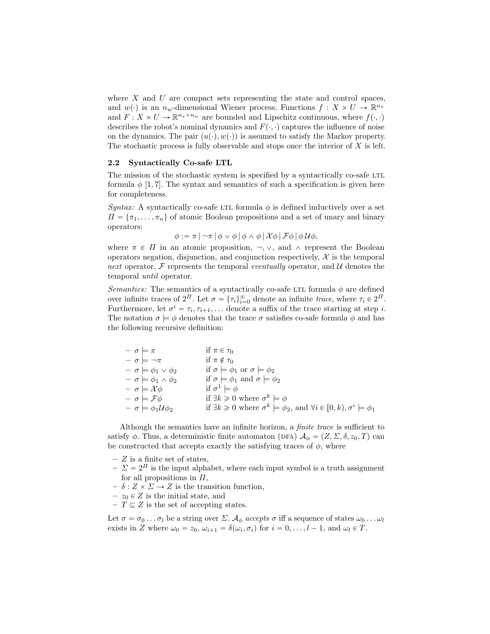where  $X$  and  $U$  are compact sets representing the state and control spaces, and  $w(\cdot)$  is an  $n_w$ -dimensional Wiener process. Functions  $f : X \times U \to \mathbb{R}^{n_x}$ and  $F: X \times U \to \mathbb{R}^{n_x \times n_w}$  are bounded and Lipschitz continuous, where  $f(\cdot, \cdot)$ describes the robot's nominal dynamics and  $F(\cdot, \cdot)$  captures the influence of noise on the dynamics. The pair  $(u(\cdot), w(\cdot))$  is assumed to satisfy the Markov property. The stochastic process is fully observable and stops once the interior of  $X$  is left.

### 2.2 Syntactically Co-safe LTL

The mission of the stochastic system is specified by a syntactically co-safe LTL formula  $\phi$  [1, 7]. The syntax and semantics of such a specification is given here for completeness.

Syntax: A syntactically co-safe LTL formula  $\phi$  is defined inductively over a set  $\Pi = {\pi_1, \ldots, \pi_n}$  of atomic Boolean propositions and a set of unary and binary operators:

$$
\phi := \pi \left| \neg \pi \left| \phi \vee \phi \right| \phi \wedge \phi \left| \mathcal{X} \phi \right| \mathcal{F} \phi \left| \phi \mathcal{U} \phi \right|, \right.
$$

where  $\pi \in \Pi$  in an atomic proposition,  $\neg$ ,  $\neg$ , and  $\wedge$  represent the Boolean operators negation, disjunction, and conjunction respectively,  $\mathcal{X}$  is the temporal next operator,  $\mathcal F$  represents the temporal eventually operator, and  $\mathcal U$  denotes the temporal until operator.

Semantics: The semantics of a syntactically co-safe LTL formula  $\phi$  are defined over infinite traces of  $2^{\Pi}$ . Let  $\sigma = {\tau_i}_{i=0}^{\infty}$  denote an infinite trace, where  $\tau_i \in 2^{\Pi}$ . Furthermore, let  $\sigma^i = \tau_i, \tau_{i+1}, \ldots$  denote a suffix of the trace starting at step *i*. The notation  $\sigma \models \phi$  denotes that the trace  $\sigma$  satisfies co-safe formula  $\phi$  and has the following recursive definition:

| $- \sigma \models \pi$                       | if $\pi \in \tau_0$                                                                                            |
|----------------------------------------------|----------------------------------------------------------------------------------------------------------------|
| $- \sigma \models \neg \pi$                  | if $\pi \notin \tau_0$                                                                                         |
| $- \sigma \models \phi_1 \vee \phi_2$        | if $\sigma \models \phi_1$ or $\sigma \models \phi_2$                                                          |
| $- \sigma \models \phi_1 \wedge \phi_2$      | if $\sigma \models \phi_1$ and $\sigma \models \phi_2$                                                         |
| $- \sigma \models \mathcal{X} \phi$          | if $\sigma^1 \models \phi$                                                                                     |
| $- \sigma \models \mathcal{F}\phi$           | if $\exists k \geq 0$ where $\sigma^k \models \phi$                                                            |
| $- \sigma \models \phi_1 \mathcal{U} \phi_2$ | if $\exists k \geq 0$ where $\sigma^k \models \phi_2$ , and $\forall i \in [0, k)$ , $\sigma^i \models \phi_1$ |
|                                              |                                                                                                                |

Although the semantics have an infinite horizon, a finite trace is sufficient to satisfy  $\phi$ . Thus, a deterministic finite automaton (DFA)  $\mathcal{A}_{\phi} = (Z, \Sigma, \delta, z_0, T)$  can be constructed that accepts exactly the satisfying traces of  $\phi$ , where

- $Z$  is a finite set of states,
- $-\Sigma = 2^{I}$  is the input alphabet, where each input symbol is a truth assignment for all propositions in  $\Pi$ .
- $\delta : Z \times \Sigma \rightarrow Z$  is the transition function,
- $z_0 \in Z$  is the initial state, and
- $-T \subseteq Z$  is the set of accepting states.

Let  $\sigma = \sigma_0 \dots \sigma_l$  be a string over  $\Sigma$ .  $\mathcal{A}_{\phi}$  accepts  $\sigma$  iff a sequence of states  $\omega_0 \dots \omega_l$ exists in Z where  $\omega_0 = z_0$ ,  $\omega_{i+1} = \delta(\omega_i, \sigma_i)$  for  $i = 0, \ldots, l - 1$ , and  $\omega_l \in T$ .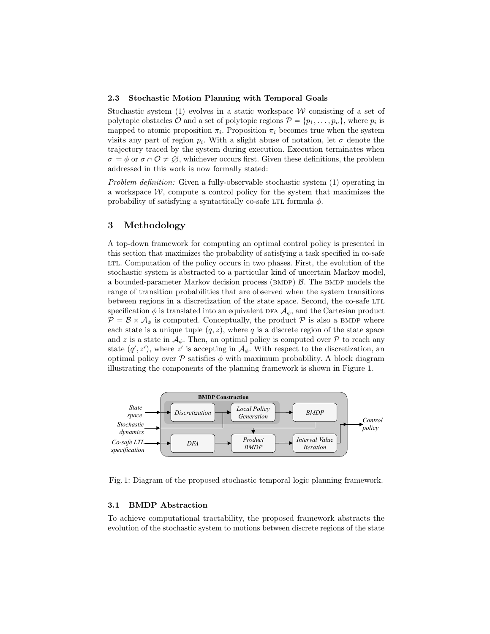#### 2.3 Stochastic Motion Planning with Temporal Goals

Stochastic system (1) evolves in a static workspace  $W$  consisting of a set of polytopic obstacles  $O$  and a set of polytopic regions  $P = \{p_1, \ldots, p_n\}$ , where  $p_i$  is mapped to atomic proposition  $\pi_i$ . Proposition  $\pi_i$  becomes true when the system visits any part of region  $p_i$ . With a slight abuse of notation, let  $\sigma$  denote the trajectory traced by the system during execution. Execution terminates when  $\sigma \models \phi$  or  $\sigma \cap \mathcal{O} \neq \emptyset$ , whichever occurs first. Given these definitions, the problem addressed in this work is now formally stated:

Problem definition: Given a fully-observable stochastic system (1) operating in a workspace  $W$ , compute a control policy for the system that maximizes the probability of satisfying a syntactically co-safe LTL formula  $\phi$ .

# 3 Methodology

A top-down framework for computing an optimal control policy is presented in this section that maximizes the probability of satisfying a task specified in co-safe ltl. Computation of the policy occurs in two phases. First, the evolution of the stochastic system is abstracted to a particular kind of uncertain Markov model, a bounded-parameter Markov decision process (BMDP)  $\beta$ . The BMDP models the range of transition probabilities that are observed when the system transitions between regions in a discretization of the state space. Second, the co-safe LTL specification  $\phi$  is translated into an equivalent DFA  $\mathcal{A}_{\phi}$ , and the Cartesian product  $\mathcal{P} = \mathcal{B} \times \mathcal{A}_{\phi}$  is computed. Conceptually, the product  $\mathcal{P}$  is also a BMDP where each state is a unique tuple  $(q, z)$ , where q is a discrete region of the state space and z is a state in  $\mathcal{A}_{\phi}$ . Then, an optimal policy is computed over P to reach any state  $(q', z')$ , where  $z'$  is accepting in  $\mathcal{A}_{\phi}$ . With respect to the discretization, an optimal policy over  $P$  satisfies  $\phi$  with maximum probability. A block diagram illustrating the components of the planning framework is shown in Figure 1.



Fig. 1: Diagram of the proposed stochastic temporal logic planning framework.

### 3.1 BMDP Abstraction

To achieve computational tractability, the proposed framework abstracts the evolution of the stochastic system to motions between discrete regions of the state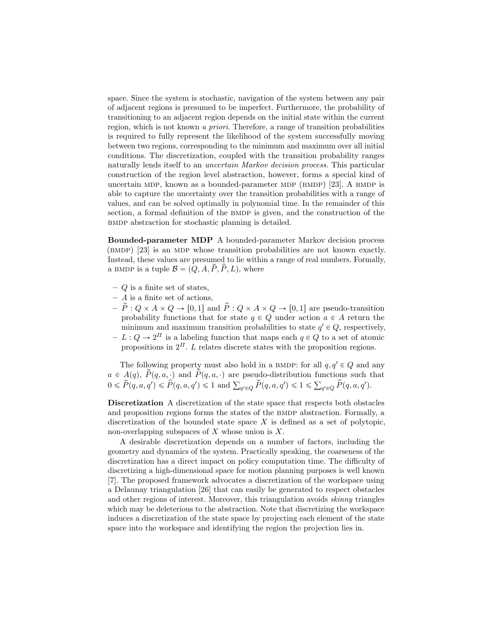space. Since the system is stochastic, navigation of the system between any pair of adjacent regions is presumed to be imperfect. Furthermore, the probability of transitioning to an adjacent region depends on the initial state within the current region, which is not known a priori. Therefore, a range of transition probabilities is required to fully represent the likelihood of the system successfully moving between two regions, corresponding to the minimum and maximum over all initial conditions. The discretization, coupled with the transition probability ranges naturally lends itself to an *uncertain Markov decision process*. This particular construction of the region level abstraction, however, forms a special kind of uncertain MDP, known as a bounded-parameter MDP (BMDP)  $[23]$ . A BMDP is able to capture the uncertainty over the transition probabilities with a range of values, and can be solved optimally in polynomial time. In the remainder of this section, a formal definition of the BMDP is given, and the construction of the bmdp abstraction for stochastic planning is detailed.

Bounded-parameter MDP A bounded-parameter Markov decision process (bmdp) [23] is an mdp whose transition probabilities are not known exactly. Instead, these values are presumed to lie within a range of real numbers. Formally, a BMDP is a tuple  $\mathcal{B} = (Q, A, \check{P}, \hat{P}, L)$ , where

- $-$  Q is a finite set of states,
- $-$  A is a finite set of actions,
- $-\check{P}: Q \times A \times Q \rightarrow [0, 1]$  and  $\hat{P}: Q \times A \times Q \rightarrow [0, 1]$  are pseudo-transition probability functions that for state  $q \in Q$  under action  $a \in A$  return the minimum and maximum transition probabilities to state  $q' \in Q$ , respectively,
- $-I: Q \to 2^{\Pi}$  is a labeling function that maps each  $q \in Q$  to a set of atomic propositions in  $2^{\Pi}$ . L relates discrete states with the proposition regions.

The following property must also hold in a BMDP: for all  $q, q' \in Q$  and any  $a \in \mathcal{A}(q), \ \tilde{P}(q, a, \cdot)$  and  $\tilde{P}(q, a, \cdot)$  are pseudo-distribution functions such that  $a \in A(q), P(q, a, \cdot)$  and  $P(q, a, \cdot)$  are pseudo-distribution functions such to  $0 \leqslant \check{P}(q, a, q') \leqslant \hat{P}(q, a, q') \leqslant 1$  and  $\sum_{q' \in Q} \check{P}(q, a, q') \leqslant 1 \leqslant \sum_{q' \in Q} \hat{P}(q, a, q').$ 

Discretization A discretization of the state space that respects both obstacles and proposition regions forms the states of the BMDP abstraction. Formally, a discretization of the bounded state space  $X$  is defined as a set of polytopic, non-overlapping subspaces of  $X$  whose union is  $X$ .

A desirable discretization depends on a number of factors, including the geometry and dynamics of the system. Practically speaking, the coarseness of the discretization has a direct impact on policy computation time. The difficulty of discretizing a high-dimensional space for motion planning purposes is well known [7]. The proposed framework advocates a discretization of the workspace using a Delaunay triangulation [26] that can easily be generated to respect obstacles and other regions of interest. Moreover, this triangulation avoids skinny triangles which may be deleterious to the abstraction. Note that discretizing the workspace induces a discretization of the state space by projecting each element of the state space into the workspace and identifying the region the projection lies in.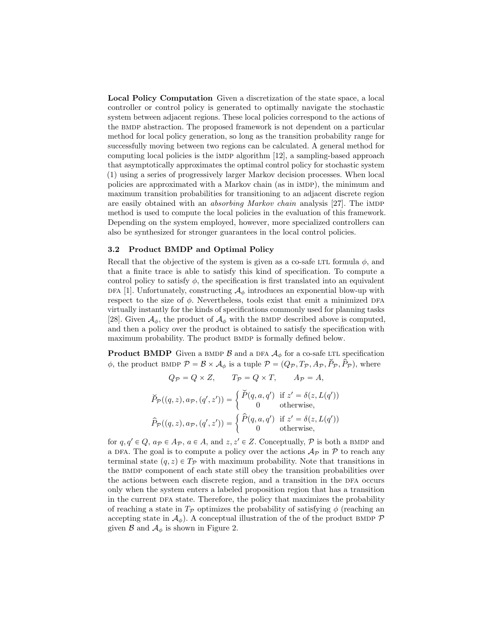Local Policy Computation Given a discretization of the state space, a local controller or control policy is generated to optimally navigate the stochastic system between adjacent regions. These local policies correspond to the actions of the bmdp abstraction. The proposed framework is not dependent on a particular method for local policy generation, so long as the transition probability range for successfully moving between two regions can be calculated. A general method for computing local policies is the impress algorithm  $[12]$ , a sampling-based approach that asymptotically approximates the optimal control policy for stochastic system (1) using a series of progressively larger Markov decision processes. When local policies are approximated with a Markov chain (as in imdp), the minimum and maximum transition probabilities for transitioning to an adjacent discrete region are easily obtained with an *absorbing Markov chain* analysis [27]. The imp method is used to compute the local policies in the evaluation of this framework. Depending on the system employed, however, more specialized controllers can also be synthesized for stronger guarantees in the local control policies.

#### 3.2 Product BMDP and Optimal Policy

Recall that the objective of the system is given as a co-safe LTL formula  $\phi$ , and that a finite trace is able to satisfy this kind of specification. To compute a control policy to satisfy  $\phi$ , the specification is first translated into an equivalent DFA [1]. Unfortunately, constructing  $\mathcal{A}_{\phi}$  introduces an exponential blow-up with respect to the size of  $\phi$ . Nevertheless, tools exist that emit a minimized DFA virtually instantly for the kinds of specifications commonly used for planning tasks [28]. Given  $\mathcal{A}_{\phi}$ , the product of  $\mathcal{A}_{\phi}$  with the BMDP described above is computed, and then a policy over the product is obtained to satisfy the specification with maximum probability. The product BMDP is formally defined below.

**Product BMDP** Given a BMDP  $\beta$  and a DFA  $\mathcal{A}_{\phi}$  for a co-safe LTL specification  $\phi$ , the product BMDP  $\mathcal{P} = \mathcal{B} \times \mathcal{A}_{\phi}$  is a tuple  $\mathcal{P} = (Q_{\mathcal{P}}, T_{\mathcal{P}}, A_{\mathcal{P}}, P_{\mathcal{P}}, P_{\mathcal{P}})$ , where

$$
Q_{\mathcal{P}} = Q \times Z, \qquad T_{\mathcal{P}} = Q \times T, \qquad A_{\mathcal{P}} = A,
$$

$$
\widetilde{P}_{\mathcal{P}}((q, z), a_{\mathcal{P}}, (q', z')) = \begin{cases} \widetilde{P}(q, a, q') & \text{if } z' = \delta(z, L(q')) \\ 0 & \text{otherwise,} \end{cases}
$$

$$
\widehat{P}_{\mathcal{P}}((q, z), a_{\mathcal{P}}, (q', z')) = \begin{cases} \widehat{P}(q, a, q') & \text{if } z' = \delta(z, L(q')) \\ 0 & \text{otherwise,} \end{cases}
$$

for  $q, q' \in Q$ ,  $a_{\mathcal{P}} \in A_{\mathcal{P}}$ ,  $a \in A$ , and  $z, z' \in Z$ . Conceptually, P is both a BMDP and a DFA. The goal is to compute a policy over the actions  $\mathcal{A}_{\mathcal{P}}$  in  $\mathcal{P}$  to reach any terminal state  $(q, z) \in T_{\mathcal{P}}$  with maximum probability. Note that transitions in the bmdp component of each state still obey the transition probabilities over the actions between each discrete region, and a transition in the DFA occurs only when the system enters a labeled proposition region that has a transition in the current dfa state. Therefore, the policy that maximizes the probability of reaching a state in  $T_p$  optimizes the probability of satisfying  $\phi$  (reaching an accepting state in  $\mathcal{A}_{\phi}$ ). A conceptual illustration of the of the product BMDP  $\mathcal{P}$ given  $\beta$  and  $\mathcal{A}_{\phi}$  is shown in Figure 2.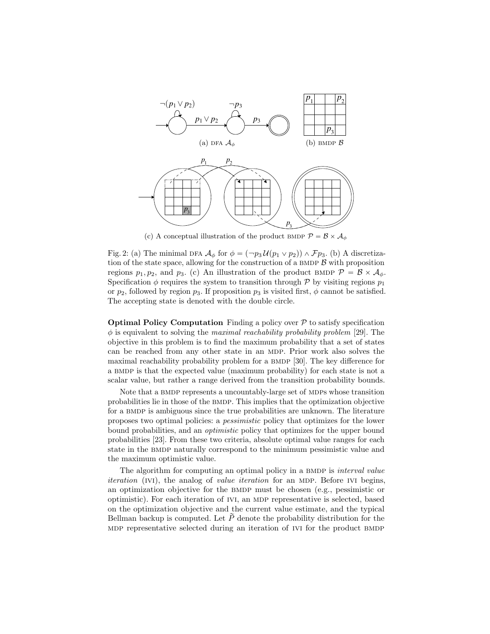

(c) A conceptual illustration of the product BMDP  $\mathcal{P} = \mathcal{B} \times \mathcal{A}_{\phi}$ 

Fig. 2: (a) The minimal DFA  $\mathcal{A}_{\phi}$  for  $\phi = (-p_3 \mathcal{U}(p_1 \vee p_2)) \wedge \mathcal{F}p_3$ . (b) A discretization of the state space, allowing for the construction of a BMDP  $\beta$  with proposition regions  $p_1, p_2$ , and  $p_3$ . (c) An illustration of the product BMDP  $\mathcal{P} = \mathcal{B} \times \mathcal{A}_{\phi}$ . Specification  $\phi$  requires the system to transition through P by visiting regions  $p_1$ or  $p_2$ , followed by region  $p_3$ . If proposition  $p_3$  is visited first,  $\phi$  cannot be satisfied. The accepting state is denoted with the double circle.

**Optimal Policy Computation** Finding a policy over  $P$  to satisfy specification  $\phi$  is equivalent to solving the *maximal reachability probability problem* [29]. The objective in this problem is to find the maximum probability that a set of states can be reached from any other state in an mdp. Prior work also solves the maximal reachability probability problem for a BMDP [30]. The key difference for a BMDP is that the expected value (maximum probability) for each state is not a scalar value, but rather a range derived from the transition probability bounds.

Note that a BMDP represents a uncountably-large set of MDPs whose transition probabilities lie in those of the BMDP. This implies that the optimization objective for a BMDP is ambiguous since the true probabilities are unknown. The literature proposes two optimal policies: a pessimistic policy that optimizes for the lower bound probabilities, and an optimistic policy that optimizes for the upper bound probabilities [23]. From these two criteria, absolute optimal value ranges for each state in the BMDP naturally correspond to the minimum pessimistic value and the maximum optimistic value.

The algorithm for computing an optimal policy in a BMDP is *interval value* iteration (IVI), the analog of *value iteration* for an MDP. Before IVI begins, an optimization objective for the BMDP must be chosen (e.g., pessimistic or optimistic). For each iteration of ivi, an mdp representative is selected, based on the optimization objective and the current value estimate, and the typical Bellman backup is computed. Let  $\widetilde{P}$  denote the probability distribution for the MDP representative selected during an iteration of IVI for the product BMDP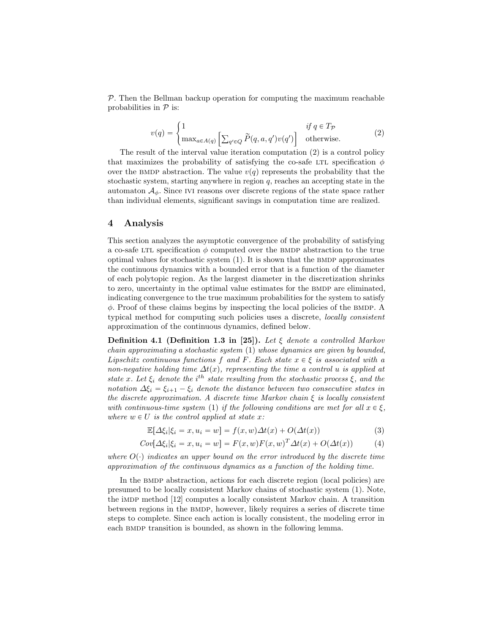$P$ . Then the Bellman backup operation for computing the maximum reachable probabilities in  $\mathcal P$  is:

$$
v(q) = \begin{cases} 1 & \text{if } q \in T_{\mathcal{P}} \\ \max_{a \in A(q)} \left[ \sum_{q' \in Q} \widetilde{P}(q, a, q') v(q') \right] & \text{otherwise.} \end{cases}
$$
(2)

The result of the interval value iteration computation (2) is a control policy that maximizes the probability of satisfying the co-safe LTL specification  $\phi$ over the BMDP abstraction. The value  $v(q)$  represents the probability that the stochastic system, starting anywhere in region  $q$ , reaches an accepting state in the automaton  $A_{\phi}$ . Since IVI reasons over discrete regions of the state space rather than individual elements, significant savings in computation time are realized.

# 4 Analysis

This section analyzes the asymptotic convergence of the probability of satisfying a co-safe LTL specification  $\phi$  computed over the BMDP abstraction to the true optimal values for stochastic system  $(1)$ . It is shown that the BMDP approximates the continuous dynamics with a bounded error that is a function of the diameter of each polytopic region. As the largest diameter in the discretization shrinks to zero, uncertainty in the optimal value estimates for the BMDP are eliminated, indicating convergence to the true maximum probabilities for the system to satisfy  $\phi$ . Proof of these claims begins by inspecting the local policies of the BMDP. A typical method for computing such policies uses a discrete, locally consistent approximation of the continuous dynamics, defined below.

**Definition 4.1 (Definition 1.3 in [25]).** Let  $\xi$  denote a controlled Markov chain approximating a stochastic system (1) whose dynamics are given by bounded, Lipschitz continuous functions f and F. Each state  $x \in \xi$  is associated with a non-negative holding time  $\Delta t(x)$ , representing the time a control u is applied at state x. Let  $\xi_i$  denote the i<sup>th</sup> state resulting from the stochastic process  $\xi$ , and the notation  $\Delta \xi_i = \xi_{i+1} - \xi_i$  denote the distance between two consecutive states in the discrete approximation. A discrete time Markov chain  $\xi$  is locally consistent with continuous-time system (1) if the following conditions are met for all  $x \in \mathcal{E}$ , where  $w \in U$  is the control applied at state x:

$$
\mathbb{E}[\Delta \xi_i | \xi_i = x, u_i = w] = f(x, w) \Delta t(x) + O(\Delta t(x))
$$
\n(3)

$$
Cov[\Delta \xi_i | \xi_i = x, u_i = w] = F(x, w)F(x, w)^T \Delta t(x) + O(\Delta t(x))
$$
\n(4)

where  $O(\cdot)$  indicates an upper bound on the error introduced by the discrete time approximation of the continuous dynamics as a function of the holding time.

In the BMDP abstraction, actions for each discrete region (local policies) are presumed to be locally consistent Markov chains of stochastic system (1). Note, the imdp method [12] computes a locally consistent Markov chain. A transition between regions in the bmdp, however, likely requires a series of discrete time steps to complete. Since each action is locally consistent, the modeling error in each BMDP transition is bounded, as shown in the following lemma.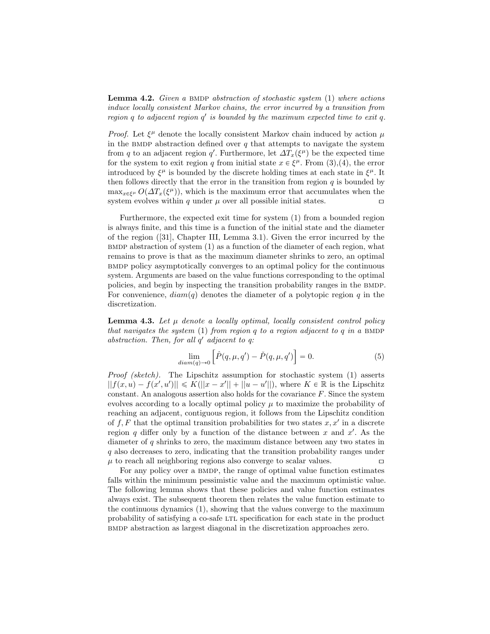**Lemma 4.2.** Given a BMDP abstraction of stochastic system  $(1)$  where actions induce locally consistent Markov chains, the error incurred by a transition from region  $q$  to adjacent region  $q'$  is bounded by the maximum expected time to exit  $q$ .

*Proof.* Let  $\xi^{\mu}$  denote the locally consistent Markov chain induced by action  $\mu$ in the BMDP abstraction defined over  $q$  that attempts to navigate the system from q to an adjacent region q'. Furthermore, let  $\Delta T_x(\xi^{\mu})$  be the expected time for the system to exit region q from initial state  $x \in \xi^{\mu}$ . From (3),(4), the error introduced by  $\xi^{\mu}$  is bounded by the discrete holding times at each state in  $\xi^{\mu}$ . It then follows directly that the error in the transition from region  $q$  is bounded by  $\max_{x \in \xi^{\mu}} O(\Delta T_x(\xi^{\mu}))$ , which is the maximum error that accumulates when the system evolves within q under  $\mu$  over all possible initial states.

Furthermore, the expected exit time for system (1) from a bounded region is always finite, and this time is a function of the initial state and the diameter of the region ([31], Chapter III, Lemma 3.1). Given the error incurred by the  $BMDP$  abstraction of system  $(1)$  as a function of the diameter of each region, what remains to prove is that as the maximum diameter shrinks to zero, an optimal bmdp policy asymptotically converges to an optimal policy for the continuous system. Arguments are based on the value functions corresponding to the optimal policies, and begin by inspecting the transition probability ranges in the BMDP. For convenience,  $diam(q)$  denotes the diameter of a polytopic region q in the discretization.

**Lemma 4.3.** Let  $\mu$  denote a locally optimal, locally consistent control policy that navigates the system (1) from region q to a region adjacent to q in a BMDP abstraction. Then, for all  $q'$  adjacent to  $q$ : ı

$$
\lim_{diam(q)\to 0} \left[ \hat{P}(q,\mu,q') - \check{P}(q,\mu,q') \right] = 0.
$$
\n(5)

*Proof (sketch)*. The Lipschitz assumption for stochastic system  $(1)$  asserts  $||f(x, u) - f(x', u')|| \le K(||x - x'|| + ||u - u'||)$ , where  $K \in \mathbb{R}$  is the Lipschitz constant. An analogous assertion also holds for the covariance F. Since the system evolves according to a locally optimal policy  $\mu$  to maximize the probability of reaching an adjacent, contiguous region, it follows from the Lipschitz condition of  $f, F$  that the optimal transition probabilities for two states  $x, x'$  in a discrete region q differ only by a function of the distance between  $x$  and  $x'$ . As the diameter of q shrinks to zero, the maximum distance between any two states in q also decreases to zero, indicating that the transition probability ranges under  $\mu$  to reach all neighboring regions also converge to scalar values.  $\Box$ 

For any policy over a BMDP, the range of optimal value function estimates falls within the minimum pessimistic value and the maximum optimistic value. The following lemma shows that these policies and value function estimates always exist. The subsequent theorem then relates the value function estimate to the continuous dynamics (1), showing that the values converge to the maximum probability of satisfying a co-safe ltl specification for each state in the product bmdp abstraction as largest diagonal in the discretization approaches zero.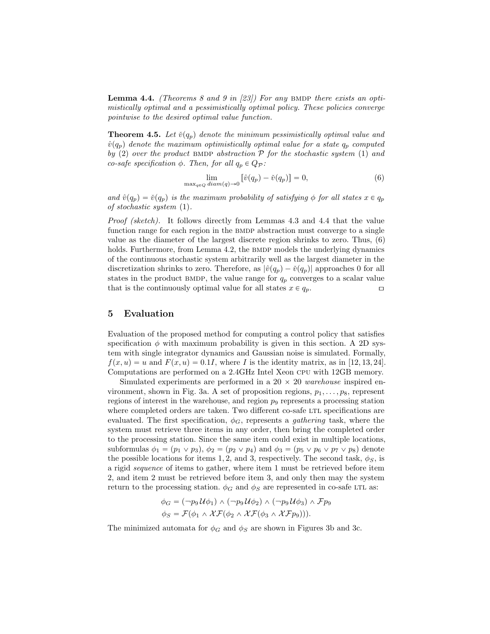**Lemma 4.4.** (Theorems 8 and 9 in [23]) For any BMDP there exists an optimistically optimal and a pessimistically optimal policy. These policies converge pointwise to the desired optimal value function.

**Theorem 4.5.** Let  $\check{v}(q_p)$  denote the minimum pessimistically optimal value and  $\hat{v}(q_p)$  denote the maximum optimistically optimal value for a state  $q_p$  computed by (2) over the product BMDP abstraction  $P$  for the stochastic system (1) and co-safe specification  $\phi$ . Then, for all  $q_p \in Q_{\mathcal{P}}$ :

$$
\lim_{\max_{q\in Q} diam(q)\to 0} \left[ \hat{v}(q_p) - \check{v}(q_p) \right] = 0,\tag{6}
$$

and  $\hat{v}(q_p) = \check{v}(q_p)$  is the maximum probability of satisfying  $\phi$  for all states  $x \in q_p$ of stochastic system (1).

Proof (sketch). It follows directly from Lemmas 4.3 and 4.4 that the value function range for each region in the BMDP abstraction must converge to a single value as the diameter of the largest discrete region shrinks to zero. Thus, (6) holds. Furthermore, from Lemma 4.2, the BMDP models the underlying dynamics of the continuous stochastic system arbitrarily well as the largest diameter in the discretization shrinks to zero. Therefore, as  $|\hat{v}(q_p) - \check{v}(q_p)|$  approaches 0 for all states in the product BMDP, the value range for  $q_p$  converges to a scalar value that is the continuously optimal value for all states  $x \in q_p$ .

### 5 Evaluation

Evaluation of the proposed method for computing a control policy that satisfies specification  $\phi$  with maximum probability is given in this section. A 2D system with single integrator dynamics and Gaussian noise is simulated. Formally,  $f(x, u) = u$  and  $F(x, u) = 0.1I$ , where I is the identity matrix, as in [12, 13, 24]. Computations are performed on a 2.4GHz Intel Xeon cpu with 12GB memory.

Simulated experiments are performed in a 20  $\times$  20 warehouse inspired environment, shown in Fig. 3a. A set of proposition regions,  $p_1, \ldots, p_8$ , represent regions of interest in the warehouse, and region  $p<sub>9</sub>$  represents a processing station where completed orders are taken. Two different co-safe LTL specifications are evaluated. The first specification,  $\phi_G$ , represents a *gathering* task, where the system must retrieve three items in any order, then bring the completed order to the processing station. Since the same item could exist in multiple locations, subformulas  $\phi_1 = (p_1 \vee p_3), \phi_2 = (p_2 \vee p_4)$  and  $\phi_3 = (p_5 \vee p_6 \vee p_7 \vee p_8)$  denote the possible locations for items 1, 2, and 3, respectively. The second task,  $\phi_S$ , is a rigid sequence of items to gather, where item 1 must be retrieved before item 2, and item 2 must be retrieved before item 3, and only then may the system return to the processing station.  $\phi_G$  and  $\phi_S$  are represented in co-safe LTL as:

$$
\phi_G = (\neg p_9 \mathcal{U} \phi_1) \land (\neg p_9 \mathcal{U} \phi_2) \land (\neg p_9 \mathcal{U} \phi_3) \land \mathcal{F} p_9
$$
  

$$
\phi_S = \mathcal{F}(\phi_1 \land \mathcal{X}\mathcal{F}(\phi_2 \land \mathcal{X}\mathcal{F}(\phi_3 \land \mathcal{X}\mathcal{F}p_9))).
$$

The minimized automata for  $\phi_G$  and  $\phi_S$  are shown in Figures 3b and 3c.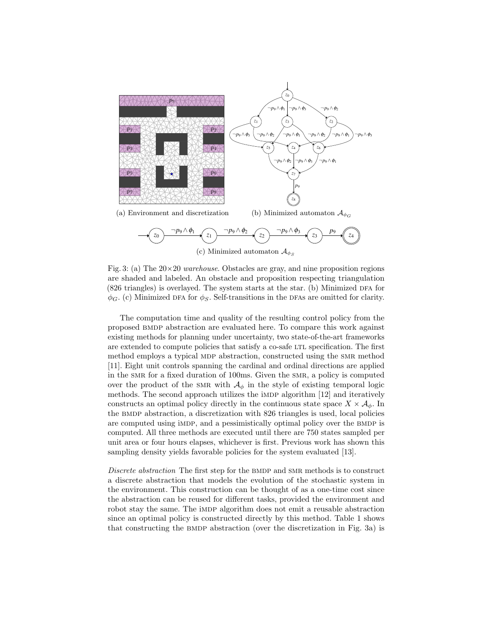

Fig. 3: (a) The  $20\times20$  warehouse. Obstacles are gray, and nine proposition regions are shaded and labeled. An obstacle and proposition respecting triangulation  $(826 \text{ triangles})$  is overlayed. The system starts at the star. (b) Minimized DFA for  $\phi_G$ . (c) Minimized DFA for  $\phi_S$ . Self-transitions in the DFAs are omitted for clarity.

The computation time and quality of the resulting control policy from the proposed bmdp abstraction are evaluated here. To compare this work against existing methods for planning under uncertainty, two state-of-the-art frameworks are extended to compute policies that satisfy a co-safe LTL specification. The first method employs a typical MDP abstraction, constructed using the SMR method [11]. Eight unit controls spanning the cardinal and ordinal directions are applied in the smr for a fixed duration of 100ms. Given the smr, a policy is computed over the product of the SMR with  $\mathcal{A}_{\phi}$  in the style of existing temporal logic methods. The second approach utilizes the iMDP algorithm [12] and iteratively constructs an optimal policy directly in the continuous state space  $X \times \mathcal{A}_{\phi}$ . In the bmdp abstraction, a discretization with 826 triangles is used, local policies are computed using impp, and a pessimistically optimal policy over the BMDP is computed. All three methods are executed until there are 750 states sampled per unit area or four hours elapses, whichever is first. Previous work has shown this sampling density yields favorable policies for the system evaluated [13].

Discrete abstraction The first step for the BMDP and SMR methods is to construct a discrete abstraction that models the evolution of the stochastic system in the environment. This construction can be thought of as a one-time cost since the abstraction can be reused for different tasks, provided the environment and robot stay the same. The impredicted absolution does not emit a reusable abstraction since an optimal policy is constructed directly by this method. Table 1 shows that constructing the bmdp abstraction (over the discretization in Fig. 3a) is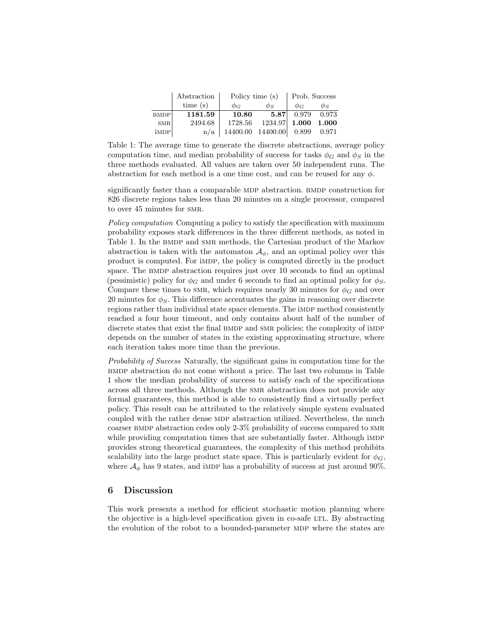|             | Abstraction | Policy time (s)         |                     | Prob. Success |          |
|-------------|-------------|-------------------------|---------------------|---------------|----------|
|             | time(s)     | ФG                      | $\phi_S$            | $\phi_G$      | $\phi_S$ |
| <b>BMDP</b> | 1181.59     | 10.80                   | 5.87                | 0.979         | 0.973    |
| SMR         | 2494.68     | 1728.56                 | 1234.97 1.000 1.000 |               |          |
| impp        | n/a         | 14400.00 14400.00 0.899 |                     |               | 0.971    |

Table 1: The average time to generate the discrete abstractions, average policy computation time, and median probability of success for tasks  $\phi_G$  and  $\phi_S$  in the three methods evaluated. All values are taken over 50 independent runs. The abstraction for each method is a one time cost, and can be reused for any  $\phi$ .

significantly faster than a comparable MDP abstraction. BMDP construction for 826 discrete regions takes less than 20 minutes on a single processor, compared to over 45 minutes for SMR.

Policy computation Computing a policy to satisfy the specification with maximum probability exposes stark differences in the three different methods, as noted in Table 1. In the BMDP and SMR methods, the Cartesian product of the Markov abstraction is taken with the automaton  $\mathcal{A}_{\phi}$ , and an optimal policy over this product is computed. For imdp, the policy is computed directly in the product space. The BMDP abstraction requires just over 10 seconds to find an optimal (pessimistic) policy for  $\phi_G$  and under 6 seconds to find an optimal policy for  $\phi_S$ . Compare these times to SMR, which requires nearly 30 minutes for  $\phi_G$  and over 20 minutes for  $\phi_s$ . This difference accentuates the gains in reasoning over discrete regions rather than individual state space elements. The iMDP method consistently reached a four hour timeout, and only contains about half of the number of discrete states that exist the final BMDP and SMR policies; the complexity of iMDP depends on the number of states in the existing approximating structure, where each iteration takes more time than the previous.

Probability of Success Naturally, the significant gains in computation time for the bmdp abstraction do not come without a price. The last two columns in Table 1 show the median probability of success to satisfy each of the specifications across all three methods. Although the smr abstraction does not provide any formal guarantees, this method is able to consistently find a virtually perfect policy. This result can be attributed to the relatively simple system evaluated coupled with the rather dense MDP abstraction utilized. Nevertheless, the much coarser bmdp abstraction cedes only 2-3% probability of success compared to smr while providing computation times that are substantially faster. Although importantly provides strong theoretical guarantees, the complexity of this method prohibits scalability into the large product state space. This is particularly evident for  $\phi_G$ , where  $A_{\phi}$  has 9 states, and importantly as a probability of success at just around 90%.

# 6 Discussion

This work presents a method for efficient stochastic motion planning where the objective is a high-level specification given in co-safe LTL. By abstracting the evolution of the robot to a bounded-parameter MDP where the states are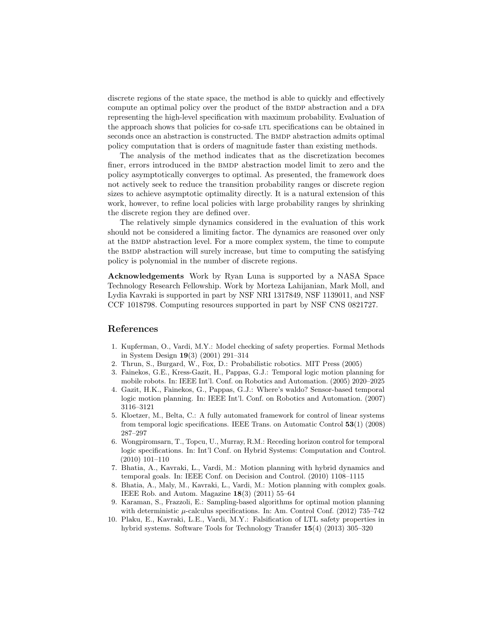discrete regions of the state space, the method is able to quickly and effectively compute an optimal policy over the product of the BMDP abstraction and a DFA representing the high-level specification with maximum probability. Evaluation of the approach shows that policies for co-safe LTL specifications can be obtained in seconds once an abstraction is constructed. The BMDP abstraction admits optimal policy computation that is orders of magnitude faster than existing methods.

The analysis of the method indicates that as the discretization becomes finer, errors introduced in the BMDP abstraction model limit to zero and the policy asymptotically converges to optimal. As presented, the framework does not actively seek to reduce the transition probability ranges or discrete region sizes to achieve asymptotic optimality directly. It is a natural extension of this work, however, to refine local policies with large probability ranges by shrinking the discrete region they are defined over.

The relatively simple dynamics considered in the evaluation of this work should not be considered a limiting factor. The dynamics are reasoned over only at the bmdp abstraction level. For a more complex system, the time to compute the bmdp abstraction will surely increase, but time to computing the satisfying policy is polynomial in the number of discrete regions.

Acknowledgements Work by Ryan Luna is supported by a NASA Space Technology Research Fellowship. Work by Morteza Lahijanian, Mark Moll, and Lydia Kavraki is supported in part by NSF NRI 1317849, NSF 1139011, and NSF CCF 1018798. Computing resources supported in part by NSF CNS 0821727.

### References

- 1. Kupferman, O., Vardi, M.Y.: Model checking of safety properties. Formal Methods in System Design 19(3) (2001) 291–314
- 2. Thrun, S., Burgard, W., Fox, D.: Probabilistic robotics. MIT Press (2005)
- 3. Fainekos, G.E., Kress-Gazit, H., Pappas, G.J.: Temporal logic motion planning for mobile robots. In: IEEE Int'l. Conf. on Robotics and Automation. (2005) 2020–2025
- 4. Gazit, H.K., Fainekos, G., Pappas, G.J.: Where's waldo? Sensor-based temporal logic motion planning. In: IEEE Int'l. Conf. on Robotics and Automation. (2007) 3116–3121
- 5. Kloetzer, M., Belta, C.: A fully automated framework for control of linear systems from temporal logic specifications. IEEE Trans. on Automatic Control 53(1) (2008) 287–297
- 6. Wongpiromsarn, T., Topcu, U., Murray, R.M.: Receding horizon control for temporal logic specifications. In: Int'l Conf. on Hybrid Systems: Computation and Control. (2010) 101–110
- 7. Bhatia, A., Kavraki, L., Vardi, M.: Motion planning with hybrid dynamics and temporal goals. In: IEEE Conf. on Decision and Control. (2010) 1108–1115
- 8. Bhatia, A., Maly, M., Kavraki, L., Vardi, M.: Motion planning with complex goals. IEEE Rob. and Autom. Magazine  $18(3)$  (2011) 55–64
- 9. Karaman, S., Frazzoli, E.: Sampling-based algorithms for optimal motion planning with deterministic  $\mu$ -calculus specifications. In: Am. Control Conf. (2012) 735–742
- 10. Plaku, E., Kavraki, L.E., Vardi, M.Y.: Falsification of LTL safety properties in hybrid systems. Software Tools for Technology Transfer 15(4) (2013) 305–320